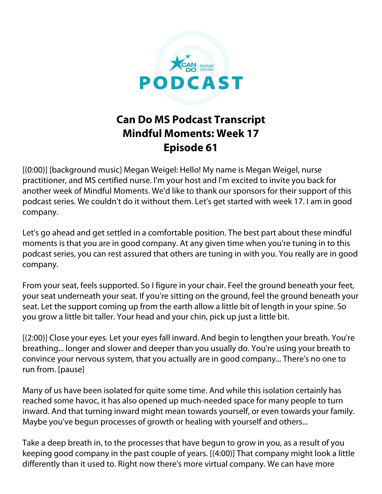

## **Can Do MS Podcast Transcript Mindful Moments: Week 17 Episode 61**

[(0:00)] [background music] Megan Weigel: Hello! My name is Megan Weigel, nurse practitioner, and MS certified nurse. I'm your host and I'm excited to invite you back for another week of Mindful Moments. We'd like to thank our sponsors for their support of this podcast series. We couldn't do it without them. Let's get started with week 17. I am in good company.

Let's go ahead and get settled in a comfortable position. The best part about these mindful moments is that you are in good company. At any given time when you're tuning in to this podcast series, you can rest assured that others are tuning in with you. You really are in good company.

From your seat, feels supported. So I figure in your chair. Feel the ground beneath your feet, your seat underneath your seat. If you're sitting on the ground, feel the ground beneath your seat. Let the support coming up from the earth allow a little bit of length in your spine. So you grow a little bit taller. Your head and your chin, pick up just a little bit.

[(2:00)] Close your eyes. Let your eyes fall inward. And begin to lengthen your breath. You're breathing... longer and slower and deeper than you usually do. You're using your breath to convince your nervous system, that you actually are in good company... There's no one to run from. [pause]

Many of us have been isolated for quite some time. And while this isolation certainly has reached some havoc, it has also opened up much-needed space for many people to turn inward. And that turning inward might mean towards yourself, or even towards your family. Maybe you've begun processes of growth or healing with yourself and others...

Take a deep breath in, to the processes that have begun to grow in you, as a result of you keeping good company in the past couple of years. [(4:00)] That company might look a little differently than it used to. Right now there's more virtual company. We can have more